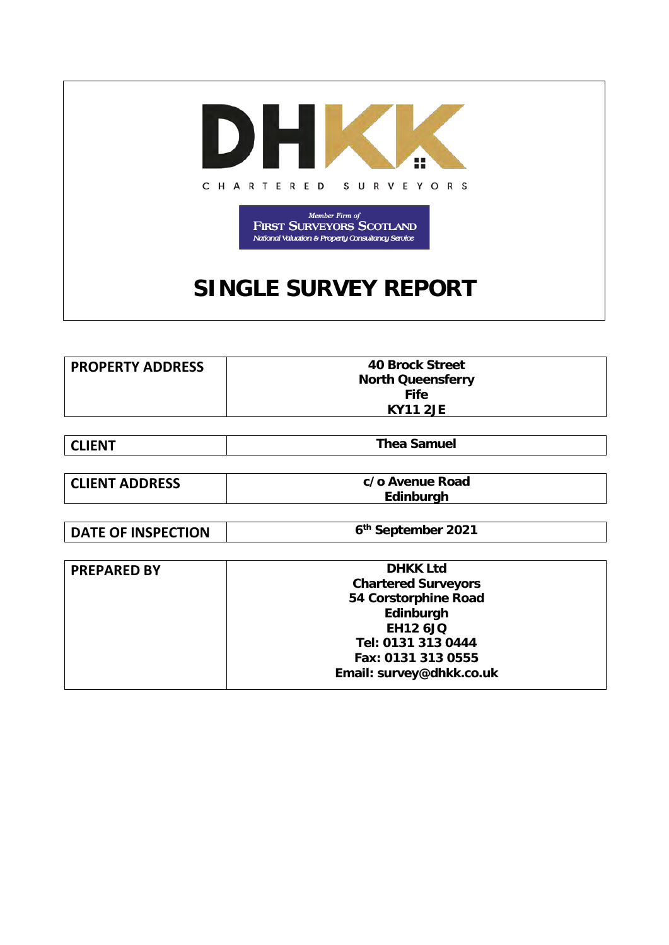

 $\begin{array}{c} \textit{Member Firm of} \\ \textbf{FRST SURVEYORS SCOTLAND} \end{array}$ National Valuation & Property Consultancy Service

# **SINGLE SURVEY REPORT**

| <b>PROPERTY ADDRESS</b> | 40 Brock Street          |
|-------------------------|--------------------------|
|                         | <b>North Queensferry</b> |
|                         | <b>Fife</b>              |
|                         | <b>KY11 2JE</b>          |

| l CLIENT | <b>Thea Samuel</b> |
|----------|--------------------|

| <b>CLIENT ADDRESS</b> | c/o Avenue Road |
|-----------------------|-----------------|
|                       | Edinburgh       |

**DATE OF INSPECTION** 6<sup>th</sup> September 2021

| <b>PREPARED BY</b> | <b>DHKK Ltd</b>            |  |
|--------------------|----------------------------|--|
|                    | <b>Chartered Surveyors</b> |  |
|                    | 54 Corstorphine Road       |  |
|                    | Edinburgh                  |  |
|                    | <b>EH12 6JQ</b>            |  |
|                    | Tel: 0131 313 0444         |  |
|                    | Fax: 0131 313 0555         |  |
|                    | Email: survey@dhkk.co.uk   |  |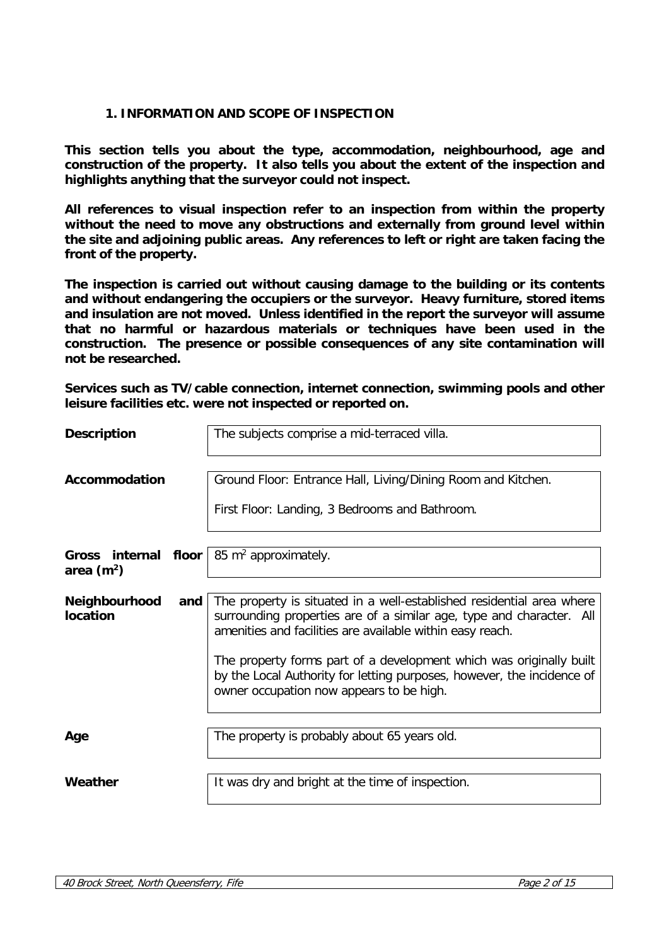# **1. INFORMATION AND SCOPE OF INSPECTION**

**This section tells you about the type, accommodation, neighbourhood, age and construction of the property. It also tells you about the extent of the inspection and highlights anything that the surveyor could not inspect.** 

**All references to visual inspection refer to an inspection from within the property without the need to move any obstructions and externally from ground level within the site and adjoining public areas. Any references to left or right are taken facing the front of the property.** 

**The inspection is carried out without causing damage to the building or its contents and without endangering the occupiers or the surveyor. Heavy furniture, stored items and insulation are not moved. Unless identified in the report the surveyor will assume that no harmful or hazardous materials or techniques have been used in the construction. The presence or possible consequences of any site contamination will not be researched.**

**Services such as TV/cable connection, internet connection, swimming pools and other leisure facilities etc. were not inspected or reported on.**

| <b>Description</b>                   |     | The subjects comprise a mid-terraced villa.                                                                                                                                                                                                                                                                                                                                                             |
|--------------------------------------|-----|---------------------------------------------------------------------------------------------------------------------------------------------------------------------------------------------------------------------------------------------------------------------------------------------------------------------------------------------------------------------------------------------------------|
| Accommodation                        |     | Ground Floor: Entrance Hall, Living/Dining Room and Kitchen.<br>First Floor: Landing, 3 Bedrooms and Bathroom.                                                                                                                                                                                                                                                                                          |
| Gross internal floor<br>area $(m^2)$ |     | 85 $m^2$ approximately.                                                                                                                                                                                                                                                                                                                                                                                 |
| Neighbourhood<br>location            | and | The property is situated in a well-established residential area where<br>surrounding properties are of a similar age, type and character. All<br>amenities and facilities are available within easy reach.<br>The property forms part of a development which was originally built<br>by the Local Authority for letting purposes, however, the incidence of<br>owner occupation now appears to be high. |
| Age                                  |     | The property is probably about 65 years old.                                                                                                                                                                                                                                                                                                                                                            |
| Weather                              |     | It was dry and bright at the time of inspection.                                                                                                                                                                                                                                                                                                                                                        |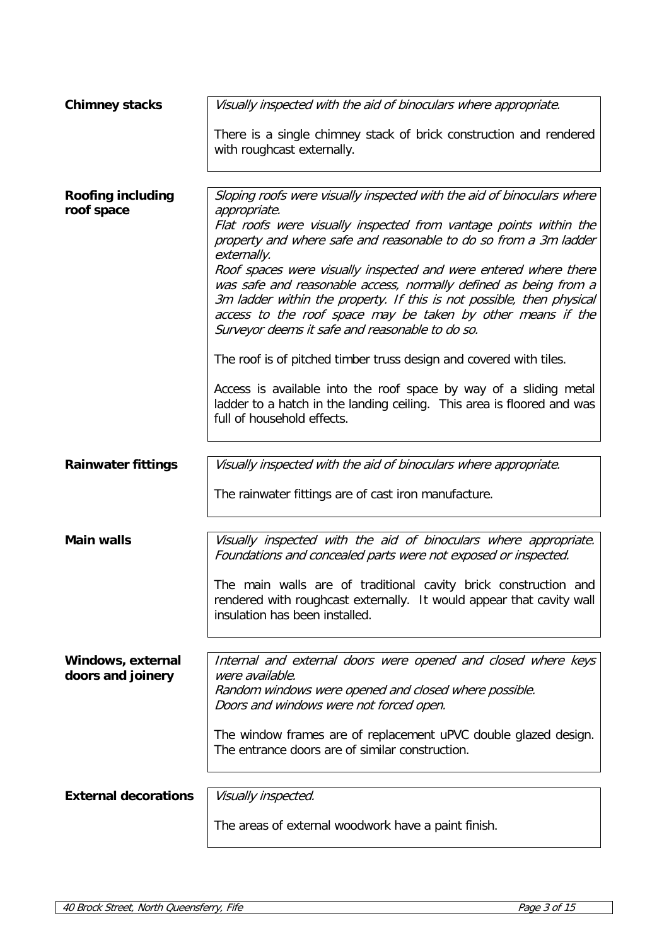| <b>Chimney stacks</b>                  | Visually inspected with the aid of binoculars where appropriate.                                                                                                                                                                                                                                                                                                                                                                                                                                                                                                                  |
|----------------------------------------|-----------------------------------------------------------------------------------------------------------------------------------------------------------------------------------------------------------------------------------------------------------------------------------------------------------------------------------------------------------------------------------------------------------------------------------------------------------------------------------------------------------------------------------------------------------------------------------|
|                                        | There is a single chimney stack of brick construction and rendered<br>with roughcast externally.                                                                                                                                                                                                                                                                                                                                                                                                                                                                                  |
| <b>Roofing including</b><br>roof space | Sloping roofs were visually inspected with the aid of binoculars where<br>appropriate.<br>Flat roofs were visually inspected from vantage points within the<br>property and where safe and reasonable to do so from a 3m ladder<br>externally.<br>Roof spaces were visually inspected and were entered where there<br>was safe and reasonable access, normally defined as being from a<br>3m ladder within the property. If this is not possible, then physical<br>access to the roof space may be taken by other means if the<br>Surveyor deems it safe and reasonable to do so. |
|                                        | The roof is of pitched timber truss design and covered with tiles.<br>Access is available into the roof space by way of a sliding metal<br>ladder to a hatch in the landing ceiling. This area is floored and was<br>full of household effects.                                                                                                                                                                                                                                                                                                                                   |
| <b>Rainwater fittings</b>              | Visually inspected with the aid of binoculars where appropriate.                                                                                                                                                                                                                                                                                                                                                                                                                                                                                                                  |
|                                        | The rainwater fittings are of cast iron manufacture.                                                                                                                                                                                                                                                                                                                                                                                                                                                                                                                              |
| <b>Main walls</b>                      | Visually inspected with the aid of binoculars where appropriate.<br>Foundations and concealed parts were not exposed or inspected.<br>The main walls are of traditional cavity brick construction and<br>rendered with roughcast externally. It would appear that cavity wall<br>insulation has been installed.                                                                                                                                                                                                                                                                   |
| Windows, external<br>doors and joinery | Internal and external doors were opened and closed where keys<br>were available.<br>Random windows were opened and closed where possible.<br>Doors and windows were not forced open.<br>The window frames are of replacement uPVC double glazed design.<br>The entrance doors are of similar construction.                                                                                                                                                                                                                                                                        |
| <b>External decorations</b>            | Visually inspected.                                                                                                                                                                                                                                                                                                                                                                                                                                                                                                                                                               |
|                                        |                                                                                                                                                                                                                                                                                                                                                                                                                                                                                                                                                                                   |
|                                        | The areas of external woodwork have a paint finish.                                                                                                                                                                                                                                                                                                                                                                                                                                                                                                                               |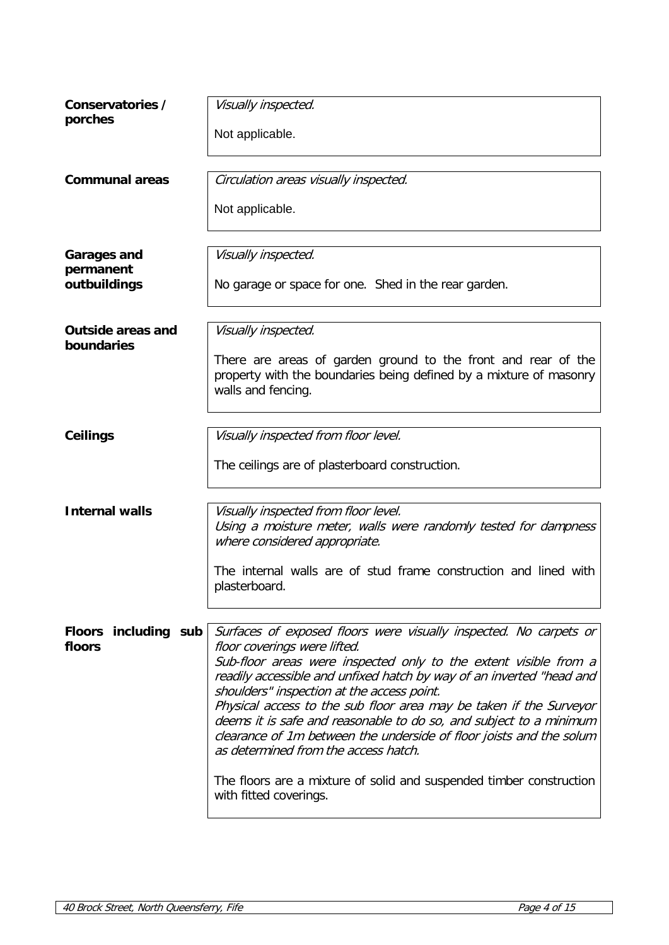| Conservatories /<br>porches                     | Visually inspected.<br>Not applicable.                                                                                                                                                                                                                                                                                                                                                                                                                                                                                                                                                                                                                  |
|-------------------------------------------------|---------------------------------------------------------------------------------------------------------------------------------------------------------------------------------------------------------------------------------------------------------------------------------------------------------------------------------------------------------------------------------------------------------------------------------------------------------------------------------------------------------------------------------------------------------------------------------------------------------------------------------------------------------|
| <b>Communal areas</b>                           | Circulation areas visually inspected.<br>Not applicable.                                                                                                                                                                                                                                                                                                                                                                                                                                                                                                                                                                                                |
| <b>Garages and</b><br>permanent<br>outbuildings | Visually inspected.<br>No garage or space for one. Shed in the rear garden.                                                                                                                                                                                                                                                                                                                                                                                                                                                                                                                                                                             |
| <b>Outside areas and</b><br>boundaries          | Visually inspected.<br>There are areas of garden ground to the front and rear of the<br>property with the boundaries being defined by a mixture of masonry<br>walls and fencing.                                                                                                                                                                                                                                                                                                                                                                                                                                                                        |
| Ceilings                                        | Visually inspected from floor level.<br>The ceilings are of plasterboard construction.                                                                                                                                                                                                                                                                                                                                                                                                                                                                                                                                                                  |
| <b>Internal walls</b>                           | Visually inspected from floor level.<br>Using a moisture meter, walls were randomly tested for dampness<br>where considered appropriate.<br>The internal walls are of stud frame construction and lined with<br>plasterboard.                                                                                                                                                                                                                                                                                                                                                                                                                           |
| Floors including sub<br>floors                  | Surfaces of exposed floors were visually inspected. No carpets or<br>floor coverings were lifted.<br>Sub-floor areas were inspected only to the extent visible from a<br>readily accessible and unfixed hatch by way of an inverted "head and<br>shoulders" inspection at the access point.<br>Physical access to the sub floor area may be taken if the Surveyor<br>deems it is safe and reasonable to do so, and subject to a minimum<br>clearance of 1m between the underside of floor joists and the solum<br>as determined from the access hatch.<br>The floors are a mixture of solid and suspended timber construction<br>with fitted coverings. |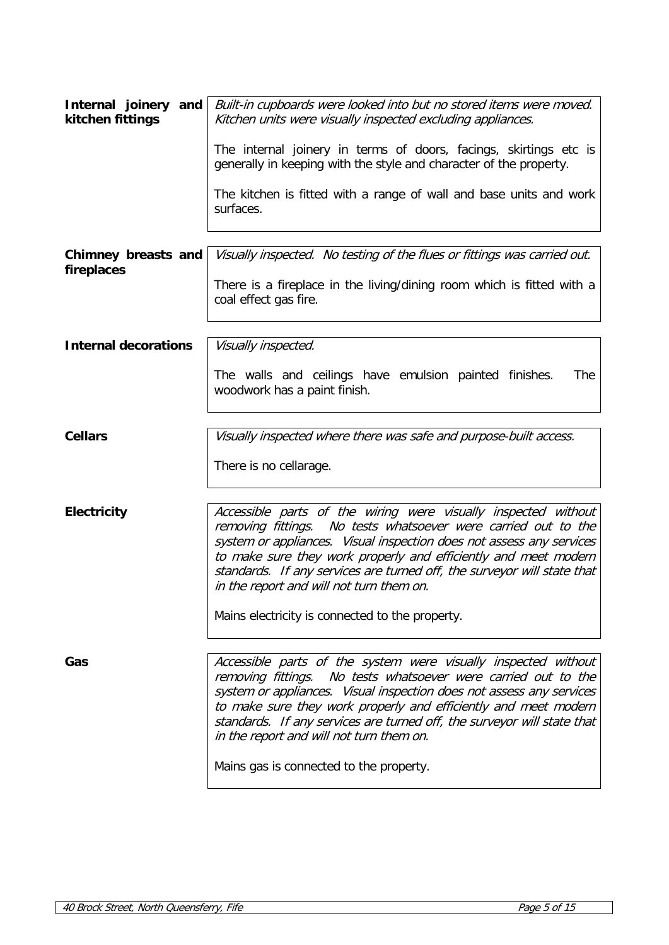| Internal joinery and<br>kitchen fittings | Built-in cupboards were looked into but no stored items were moved.<br>Kitchen units were visually inspected excluding appliances.                                                                                                                                                                                                                                                                 |
|------------------------------------------|----------------------------------------------------------------------------------------------------------------------------------------------------------------------------------------------------------------------------------------------------------------------------------------------------------------------------------------------------------------------------------------------------|
|                                          | The internal joinery in terms of doors, facings, skirtings etc is<br>generally in keeping with the style and character of the property.                                                                                                                                                                                                                                                            |
|                                          | The kitchen is fitted with a range of wall and base units and work<br>surfaces.                                                                                                                                                                                                                                                                                                                    |
| Chimney breasts and<br>fireplaces        | Visually inspected. No testing of the flues or fittings was carried out.                                                                                                                                                                                                                                                                                                                           |
|                                          | There is a fireplace in the living/dining room which is fitted with a<br>coal effect gas fire.                                                                                                                                                                                                                                                                                                     |
| <b>Internal decorations</b>              | Visually inspected.                                                                                                                                                                                                                                                                                                                                                                                |
|                                          | The walls and ceilings have emulsion painted finishes.<br>The<br>woodwork has a paint finish.                                                                                                                                                                                                                                                                                                      |
| <b>Cellars</b>                           | Visually inspected where there was safe and purpose-built access.                                                                                                                                                                                                                                                                                                                                  |
|                                          | There is no cellarage.                                                                                                                                                                                                                                                                                                                                                                             |
| <b>Electricity</b>                       | Accessible parts of the wiring were visually inspected without<br>removing fittings. No tests whatsoever were carried out to the<br>system or appliances. Visual inspection does not assess any services<br>to make sure they work properly and efficiently and meet modern<br>standards. If any services are turned off, the surveyor will state that<br>in the report and will not turn them on. |
|                                          | Mains electricity is connected to the property.                                                                                                                                                                                                                                                                                                                                                    |
| Gas                                      | Accessible parts of the system were visually inspected without<br>removing fittings. No tests whatsoever were carried out to the<br>system or appliances. Visual inspection does not assess any services<br>to make sure they work properly and efficiently and meet modern<br>standards. If any services are turned off, the surveyor will state that<br>in the report and will not turn them on. |
|                                          | Mains gas is connected to the property.                                                                                                                                                                                                                                                                                                                                                            |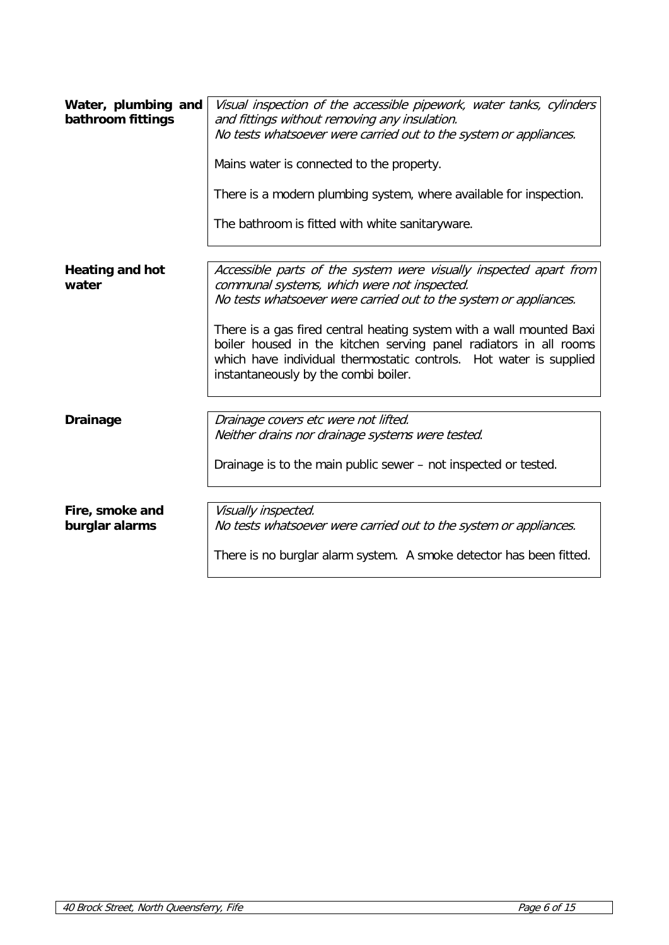| Water, plumbing and<br>bathroom fittings | Visual inspection of the accessible pipework, water tanks, cylinders<br>and fittings without removing any insulation.<br>No tests whatsoever were carried out to the system or appliances.<br>Mains water is connected to the property.<br>There is a modern plumbing system, where available for inspection.<br>The bathroom is fitted with white sanitaryware.                                                                                 |
|------------------------------------------|--------------------------------------------------------------------------------------------------------------------------------------------------------------------------------------------------------------------------------------------------------------------------------------------------------------------------------------------------------------------------------------------------------------------------------------------------|
| <b>Heating and hot</b><br>water          | Accessible parts of the system were visually inspected apart from<br>communal systems, which were not inspected.<br>No tests whatsoever were carried out to the system or appliances.<br>There is a gas fired central heating system with a wall mounted Baxi<br>boiler housed in the kitchen serving panel radiators in all rooms<br>which have individual thermostatic controls. Hot water is supplied<br>instantaneously by the combi boiler. |
| <b>Drainage</b>                          | Drainage covers etc were not lifted.<br>Neither drains nor drainage systems were tested.<br>Drainage is to the main public sewer – not inspected or tested.                                                                                                                                                                                                                                                                                      |
| Fire, smoke and<br>burglar alarms        | Visually inspected.<br>No tests whatsoever were carried out to the system or appliances.<br>There is no burglar alarm system. A smoke detector has been fitted.                                                                                                                                                                                                                                                                                  |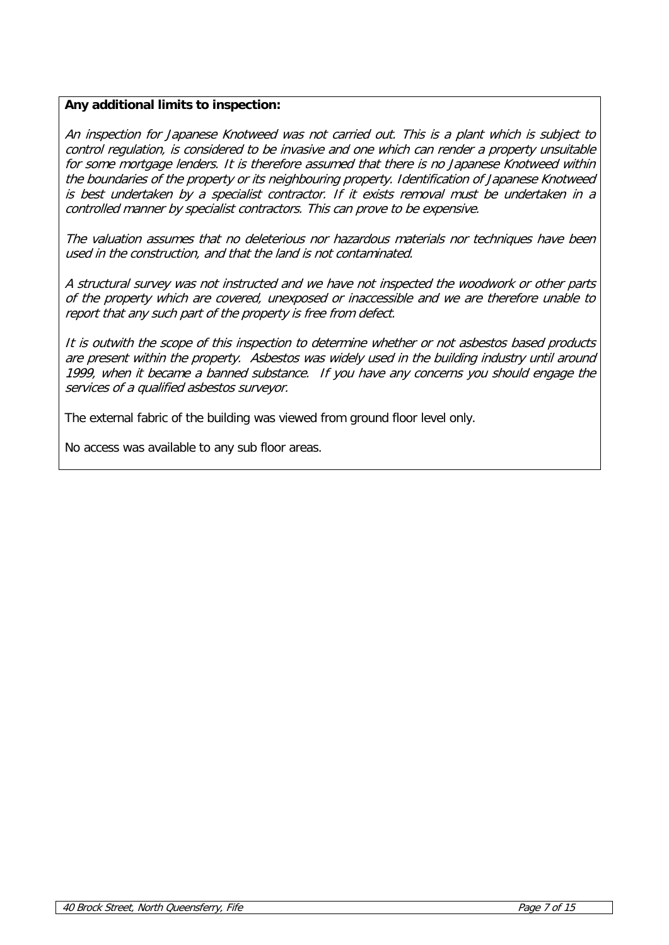# **Any additional limits to inspection:**

An inspection for Japanese Knotweed was not carried out. This is a plant which is subject to control regulation, is considered to be invasive and one which can render a property unsuitable for some mortgage lenders. It is therefore assumed that there is no Japanese Knotweed within the boundaries of the property or its neighbouring property. Identification of Japanese Knotweed is best undertaken by a specialist contractor. If it exists removal must be undertaken in a controlled manner by specialist contractors. This can prove to be expensive.

The valuation assumes that no deleterious nor hazardous materials nor techniques have been used in the construction, and that the land is not contaminated.

A structural survey was not instructed and we have not inspected the woodwork or other parts of the property which are covered, unexposed or inaccessible and we are therefore unable to report that any such part of the property is free from defect.

It is outwith the scope of this inspection to determine whether or not asbestos based products are present within the property. Asbestos was widely used in the building industry until around 1999, when it became a banned substance. If you have any concerns you should engage the services of a qualified asbestos surveyor.

The external fabric of the building was viewed from ground floor level only.

No access was available to any sub floor areas.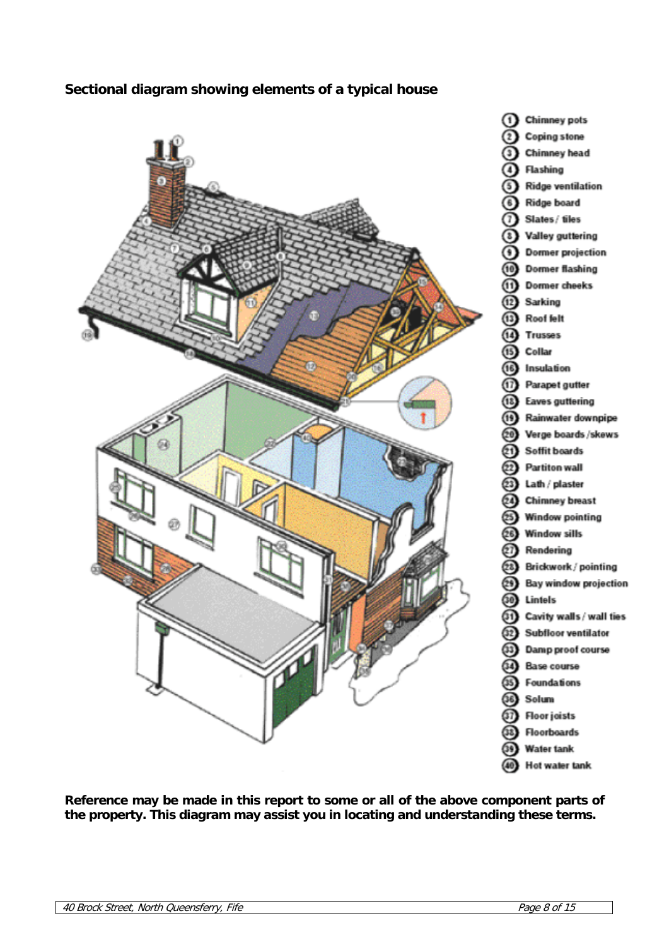# **Sectional diagram showing elements of a typical house**



**Reference may be made in this report to some or all of the above component parts of the property. This diagram may assist you in locating and understanding these terms.**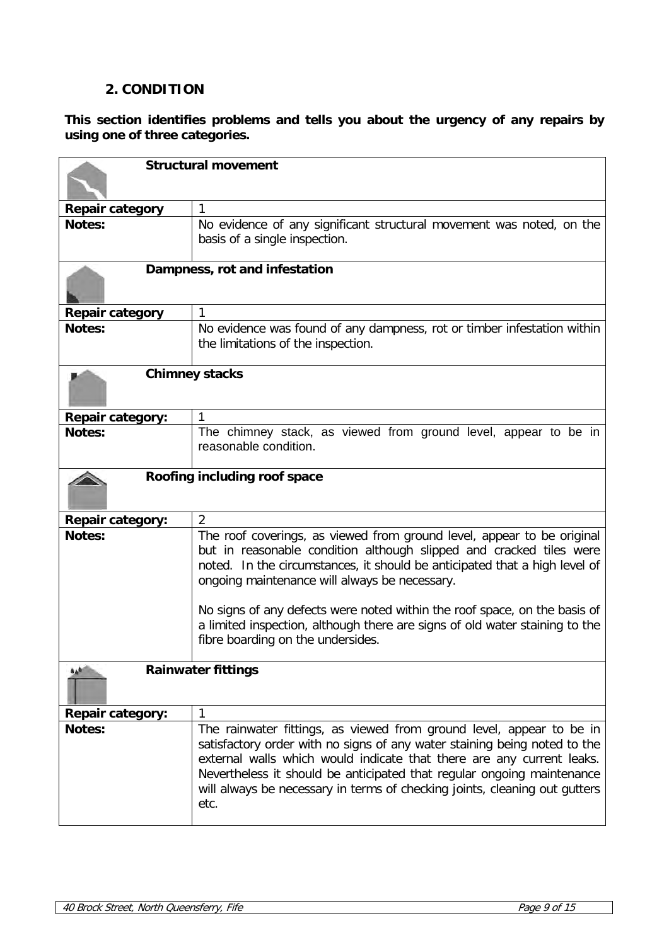# **2. CONDITION**

**This section identifies problems and tells you about the urgency of any repairs by using one of three categories.**

| <b>Structural movement</b>           |                                                                                                                                                                                                                                                                                                                                                                                                                                                                               |
|--------------------------------------|-------------------------------------------------------------------------------------------------------------------------------------------------------------------------------------------------------------------------------------------------------------------------------------------------------------------------------------------------------------------------------------------------------------------------------------------------------------------------------|
|                                      |                                                                                                                                                                                                                                                                                                                                                                                                                                                                               |
| Repair category                      | 1                                                                                                                                                                                                                                                                                                                                                                                                                                                                             |
| Notes:                               | No evidence of any significant structural movement was noted, on the<br>basis of a single inspection.                                                                                                                                                                                                                                                                                                                                                                         |
|                                      | Dampness, rot and infestation                                                                                                                                                                                                                                                                                                                                                                                                                                                 |
| <b>Repair category</b>               | 1                                                                                                                                                                                                                                                                                                                                                                                                                                                                             |
| <b>Notes:</b>                        | No evidence was found of any dampness, rot or timber infestation within<br>the limitations of the inspection.                                                                                                                                                                                                                                                                                                                                                                 |
|                                      | <b>Chimney stacks</b>                                                                                                                                                                                                                                                                                                                                                                                                                                                         |
| <b>Repair category:</b>              | 1                                                                                                                                                                                                                                                                                                                                                                                                                                                                             |
| <b>Notes:</b>                        | The chimney stack, as viewed from ground level, appear to be in<br>reasonable condition.                                                                                                                                                                                                                                                                                                                                                                                      |
|                                      | Roofing including roof space                                                                                                                                                                                                                                                                                                                                                                                                                                                  |
| <b>Repair category:</b>              | $\overline{2}$                                                                                                                                                                                                                                                                                                                                                                                                                                                                |
| Notes:                               | The roof coverings, as viewed from ground level, appear to be original<br>but in reasonable condition although slipped and cracked tiles were<br>noted. In the circumstances, it should be anticipated that a high level of<br>ongoing maintenance will always be necessary.<br>No signs of any defects were noted within the roof space, on the basis of<br>a limited inspection, although there are signs of old water staining to the<br>fibre boarding on the undersides. |
| <b>Rainwater fittings</b><br>$b_A b$ |                                                                                                                                                                                                                                                                                                                                                                                                                                                                               |
| <b>Repair category:</b>              | 1                                                                                                                                                                                                                                                                                                                                                                                                                                                                             |
| <b>Notes:</b>                        | The rainwater fittings, as viewed from ground level, appear to be in<br>satisfactory order with no signs of any water staining being noted to the<br>external walls which would indicate that there are any current leaks.<br>Nevertheless it should be anticipated that regular ongoing maintenance<br>will always be necessary in terms of checking joints, cleaning out gutters<br>etc.                                                                                    |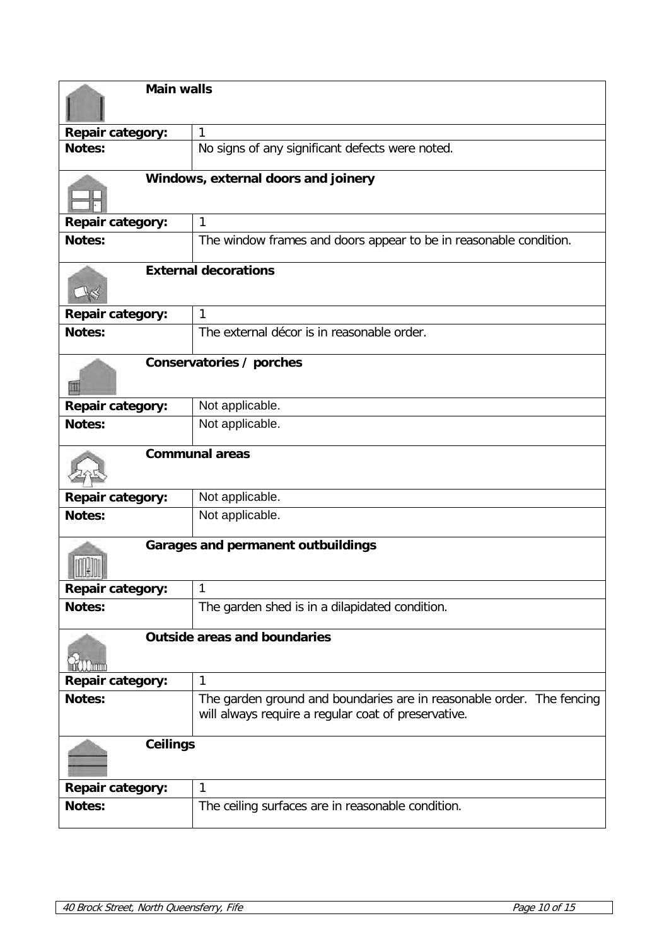|                         | <b>Main walls</b>                                                                                                            |  |
|-------------------------|------------------------------------------------------------------------------------------------------------------------------|--|
|                         |                                                                                                                              |  |
| <b>Repair category:</b> | 1                                                                                                                            |  |
| Notes:                  | No signs of any significant defects were noted.                                                                              |  |
|                         | Windows, external doors and joinery                                                                                          |  |
| <b>Repair category:</b> | $\mathbf{1}$                                                                                                                 |  |
| <b>Notes:</b>           | The window frames and doors appear to be in reasonable condition.                                                            |  |
|                         | <b>External decorations</b>                                                                                                  |  |
| <b>Repair category:</b> | $\mathbf{1}$                                                                                                                 |  |
| Notes:                  | The external décor is in reasonable order.                                                                                   |  |
| m                       | Conservatories / porches                                                                                                     |  |
| Repair category:        | Not applicable.                                                                                                              |  |
| Notes:                  | Not applicable.                                                                                                              |  |
|                         | <b>Communal areas</b>                                                                                                        |  |
| <b>Repair category:</b> | Not applicable.                                                                                                              |  |
| Notes:                  | Not applicable.                                                                                                              |  |
|                         | <b>Garages and permanent outbuildings</b>                                                                                    |  |
| <b>Repair category:</b> | 1                                                                                                                            |  |
| Notes:                  | The garden shed is in a dilapidated condition.                                                                               |  |
|                         | <b>Outside areas and boundaries</b>                                                                                          |  |
| <b>Repair category:</b> | 1                                                                                                                            |  |
| Notes:                  | The garden ground and boundaries are in reasonable order. The fencing<br>will always require a regular coat of preservative. |  |
| <b>Ceilings</b>         |                                                                                                                              |  |
| <b>Repair category:</b> | 1                                                                                                                            |  |
| Notes:                  | The ceiling surfaces are in reasonable condition.                                                                            |  |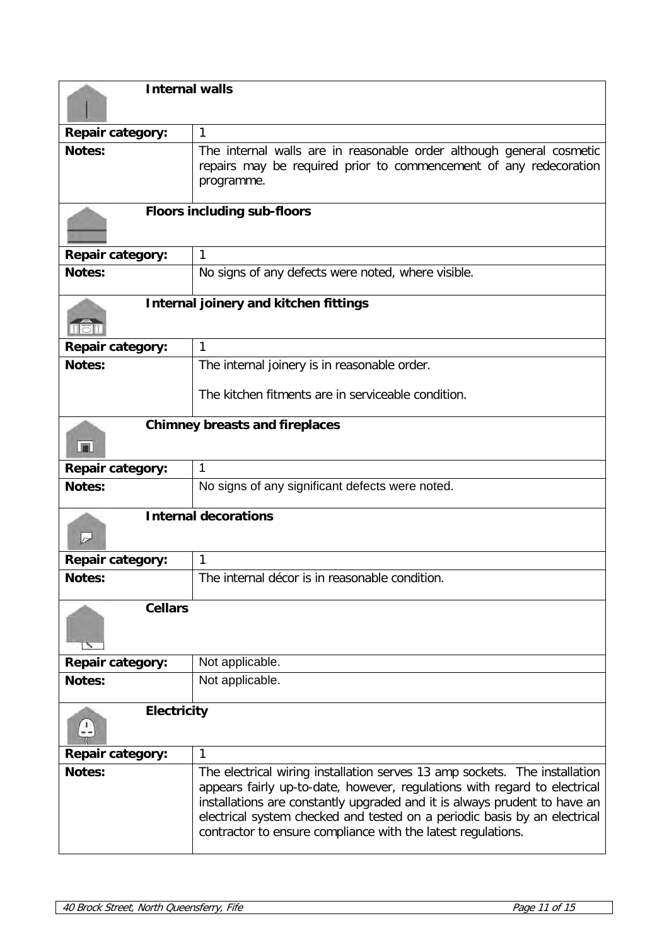| <b>Internal walls</b>                   |                                                                                                                                                                                                                                                                                                                                                                                   |
|-----------------------------------------|-----------------------------------------------------------------------------------------------------------------------------------------------------------------------------------------------------------------------------------------------------------------------------------------------------------------------------------------------------------------------------------|
| <b>Repair category:</b>                 | 1                                                                                                                                                                                                                                                                                                                                                                                 |
| <b>Notes:</b>                           | The internal walls are in reasonable order although general cosmetic<br>repairs may be required prior to commencement of any redecoration<br>programme.                                                                                                                                                                                                                           |
|                                         | <b>Floors including sub-floors</b>                                                                                                                                                                                                                                                                                                                                                |
| <b>Repair category:</b>                 | 1                                                                                                                                                                                                                                                                                                                                                                                 |
| <b>Notes:</b>                           | No signs of any defects were noted, where visible.                                                                                                                                                                                                                                                                                                                                |
|                                         | Internal joinery and kitchen fittings                                                                                                                                                                                                                                                                                                                                             |
| <b>Repair category:</b>                 | 1                                                                                                                                                                                                                                                                                                                                                                                 |
| <b>Notes:</b>                           | The internal joinery is in reasonable order.                                                                                                                                                                                                                                                                                                                                      |
|                                         | The kitchen fitments are in serviceable condition.                                                                                                                                                                                                                                                                                                                                |
| <b>In</b>                               | <b>Chimney breasts and fireplaces</b>                                                                                                                                                                                                                                                                                                                                             |
| <b>Repair category:</b>                 | 1                                                                                                                                                                                                                                                                                                                                                                                 |
| <b>Notes:</b>                           | No signs of any significant defects were noted.                                                                                                                                                                                                                                                                                                                                   |
| $\overline{\smash{\sim}}$               | <b>Internal decorations</b>                                                                                                                                                                                                                                                                                                                                                       |
| <b>Repair category:</b>                 | 1                                                                                                                                                                                                                                                                                                                                                                                 |
| <b>Notes:</b>                           | The internal décor is in reasonable condition.                                                                                                                                                                                                                                                                                                                                    |
| <b>Cellars</b><br>$\tilde{\phantom{a}}$ |                                                                                                                                                                                                                                                                                                                                                                                   |
| <b>Repair category:</b>                 | Not applicable.                                                                                                                                                                                                                                                                                                                                                                   |
| <b>Notes:</b>                           | Not applicable.                                                                                                                                                                                                                                                                                                                                                                   |
| <b>Electricity</b>                      |                                                                                                                                                                                                                                                                                                                                                                                   |
| <b>Repair category:</b>                 | 1                                                                                                                                                                                                                                                                                                                                                                                 |
| <b>Notes:</b>                           | The electrical wiring installation serves 13 amp sockets. The installation<br>appears fairly up-to-date, however, regulations with regard to electrical<br>installations are constantly upgraded and it is always prudent to have an<br>electrical system checked and tested on a periodic basis by an electrical<br>contractor to ensure compliance with the latest regulations. |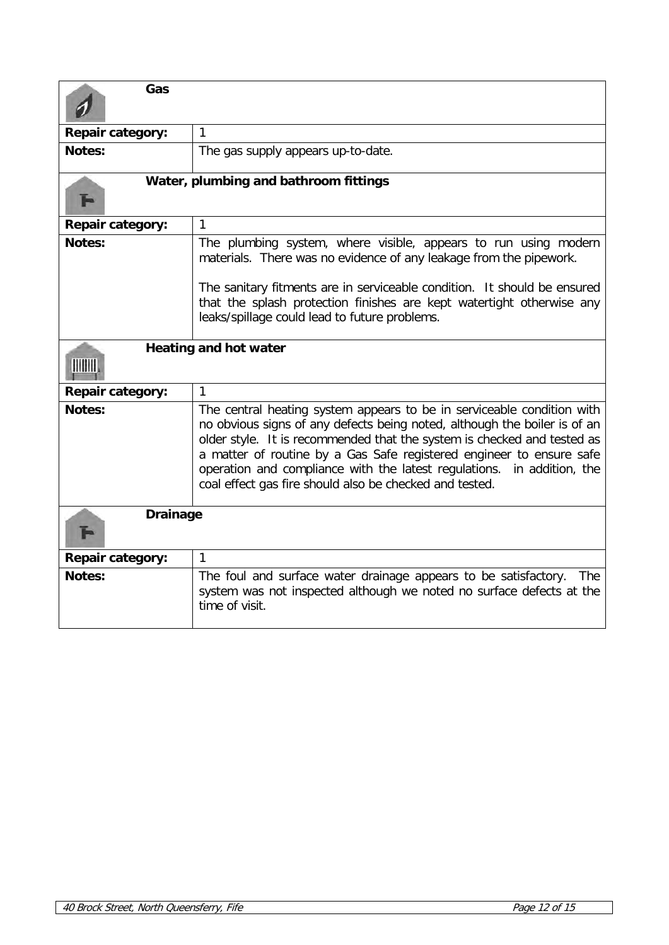| Gas                                   |                                                                                                                                                                                                                                                                                                                                                                                                                                             |  |  |
|---------------------------------------|---------------------------------------------------------------------------------------------------------------------------------------------------------------------------------------------------------------------------------------------------------------------------------------------------------------------------------------------------------------------------------------------------------------------------------------------|--|--|
| Repair category:                      | 1                                                                                                                                                                                                                                                                                                                                                                                                                                           |  |  |
| Notes:                                | The gas supply appears up-to-date.                                                                                                                                                                                                                                                                                                                                                                                                          |  |  |
| Water, plumbing and bathroom fittings |                                                                                                                                                                                                                                                                                                                                                                                                                                             |  |  |
| <b>Repair category:</b>               | 1                                                                                                                                                                                                                                                                                                                                                                                                                                           |  |  |
| Notes:                                | The plumbing system, where visible, appears to run using modern<br>materials. There was no evidence of any leakage from the pipework.                                                                                                                                                                                                                                                                                                       |  |  |
|                                       | The sanitary fitments are in serviceable condition. It should be ensured<br>that the splash protection finishes are kept watertight otherwise any<br>leaks/spillage could lead to future problems.                                                                                                                                                                                                                                          |  |  |
| <b>Heating and hot water</b>          |                                                                                                                                                                                                                                                                                                                                                                                                                                             |  |  |
| Repair category:                      | $\mathbf{1}$                                                                                                                                                                                                                                                                                                                                                                                                                                |  |  |
| Notes:                                | The central heating system appears to be in serviceable condition with<br>no obvious signs of any defects being noted, although the boiler is of an<br>older style. It is recommended that the system is checked and tested as<br>a matter of routine by a Gas Safe registered engineer to ensure safe<br>operation and compliance with the latest regulations. in addition, the<br>coal effect gas fire should also be checked and tested. |  |  |
| <b>Drainage</b>                       |                                                                                                                                                                                                                                                                                                                                                                                                                                             |  |  |
| <b>Repair category:</b>               | 1                                                                                                                                                                                                                                                                                                                                                                                                                                           |  |  |
| <b>Notes:</b>                         | The foul and surface water drainage appears to be satisfactory. The<br>system was not inspected although we noted no surface defects at the<br>time of visit.                                                                                                                                                                                                                                                                               |  |  |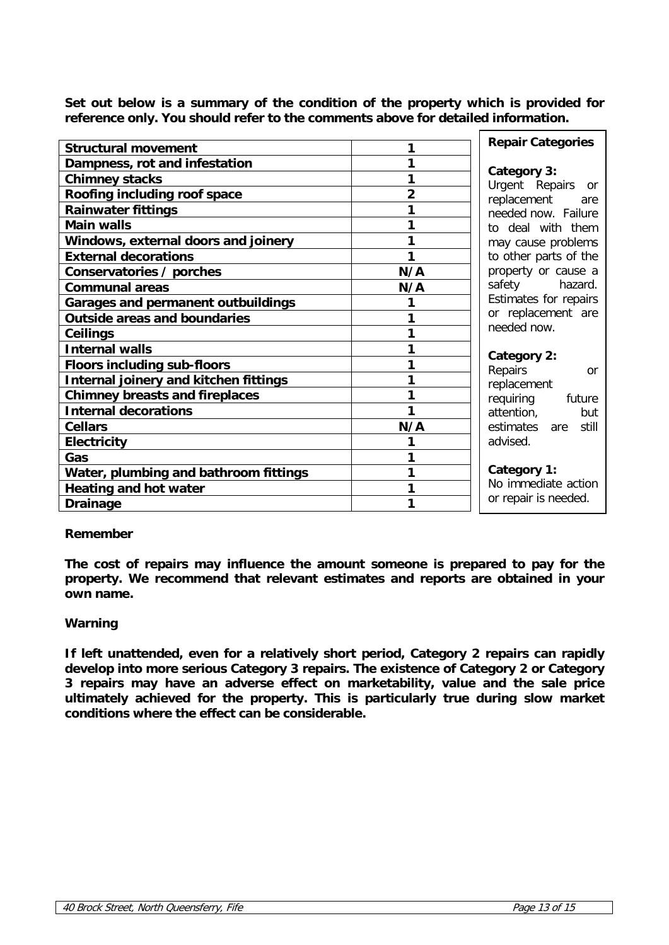**Set out below is a summary of the condition of the property which is provided for reference only. You should refer to the comments above for detailed information.**

| <b>Structural movement</b>                | 1                  | <b>Repair Categories</b>                    |
|-------------------------------------------|--------------------|---------------------------------------------|
| Dampness, rot and infestation             | 1                  | Category 3:                                 |
| <b>Chimney stacks</b>                     | 1                  | Urgent Repairs or                           |
| Roofing including roof space              | replacement<br>are |                                             |
| <b>Rainwater fittings</b>                 | 1                  | needed now. Failure                         |
| <b>Main walls</b>                         | 1                  | to deal with them                           |
| Windows, external doors and joinery       | 1                  | may cause problems                          |
| <b>External decorations</b>               | 1                  | to other parts of the                       |
| Conservatories / porches                  | N/A                | property or cause a                         |
| <b>Communal areas</b>                     | N/A                | safety hazard.                              |
| <b>Garages and permanent outbuildings</b> | 1                  | Estimates for repairs<br>or replacement are |
| <b>Outside areas and boundaries</b>       | 1                  |                                             |
| <b>Ceilings</b>                           | 1                  | needed now.                                 |
| <b>Internal walls</b>                     | 1                  |                                             |
| <b>Floors including sub-floors</b>        | 1                  | Category 2:<br>Repairs<br>or                |
| Internal joinery and kitchen fittings     | 1                  | replacement                                 |
| <b>Chimney breasts and fireplaces</b>     | 1                  | requiring<br>future                         |
| <b>Internal decorations</b>               | 1                  | attention,<br>but                           |
| <b>Cellars</b>                            | N/A                | estimates<br>are still                      |
| <b>Electricity</b>                        | 1                  | advised.                                    |
| Gas                                       | 1                  |                                             |
| Water, plumbing and bathroom fittings     | 1                  | Category 1:                                 |
| <b>Heating and hot water</b>              | 1                  | No immediate action                         |
| <b>Drainage</b>                           | 1                  | or repair is needed.                        |
|                                           |                    |                                             |

## **Remember**

**The cost of repairs may influence the amount someone is prepared to pay for the property. We recommend that relevant estimates and reports are obtained in your own name.**

## **Warning**

**If left unattended, even for a relatively short period, Category 2 repairs can rapidly develop into more serious Category 3 repairs. The existence of Category 2 or Category 3 repairs may have an adverse effect on marketability, value and the sale price ultimately achieved for the property. This is particularly true during slow market conditions where the effect can be considerable.**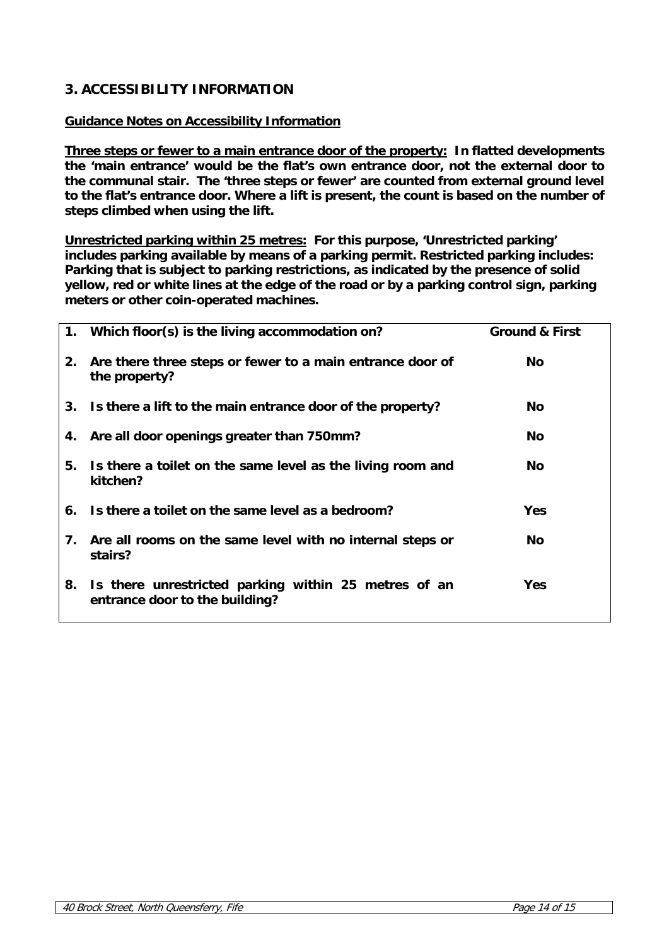# **3. ACCESSIBILITY INFORMATION**

# **Guidance Notes on Accessibility Information**

**Three steps or fewer to a main entrance door of the property: In flatted developments the 'main entrance' would be the flat's own entrance door, not the external door to the communal stair. The 'three steps or fewer' are counted from external ground level to the flat's entrance door. Where a lift is present, the count is based on the number of steps climbed when using the lift.** 

**Unrestricted parking within 25 metres: For this purpose, 'Unrestricted parking' includes parking available by means of a parking permit. Restricted parking includes: Parking that is subject to parking restrictions, as indicated by the presence of solid yellow, red or white lines at the edge of the road or by a parking control sign, parking meters or other coin-operated machines.**

|    | 1. Which floor(s) is the living accommodation on?                                      | <b>Ground &amp; First</b> |
|----|----------------------------------------------------------------------------------------|---------------------------|
| 2. | Are there three steps or fewer to a main entrance door of<br>the property?             | No.                       |
|    | 3. Is there a lift to the main entrance door of the property?                          | No.                       |
|    | 4. Are all door openings greater than 750mm?                                           | No.                       |
| 5. | Is there a toilet on the same level as the living room and<br>kitchen?                 | No.                       |
|    | 6. Is there a toilet on the same level as a bedroom?                                   | <b>Yes</b>                |
| 7. | Are all rooms on the same level with no internal steps or<br>stairs?                   | <b>No</b>                 |
| 8. | Is there unrestricted parking within 25 metres of an<br>entrance door to the building? | <b>Yes</b>                |